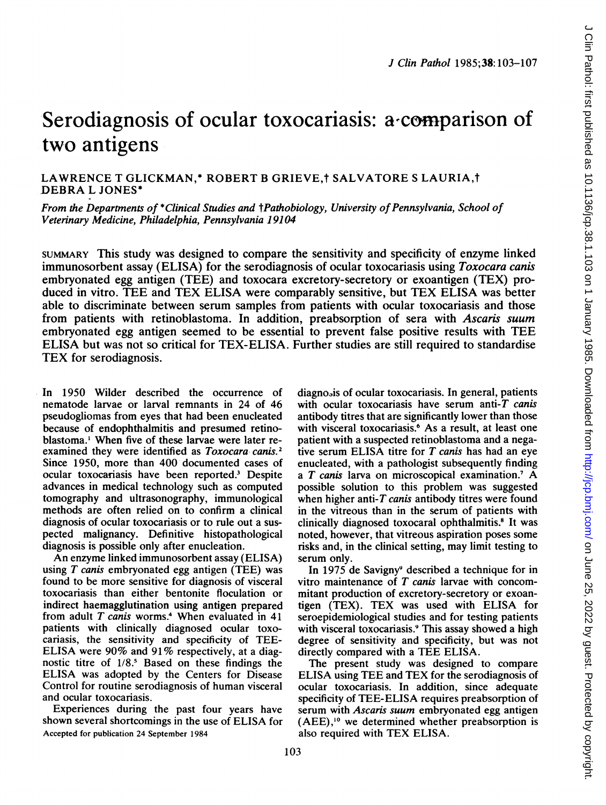# Serodiagnosis of ocular toxocariasis: a comparison of two antigens

LAWRENCE T GLICKMAN,\* ROBERT B GRIEVE,† SALVATORE S LAURIA,† DEBRA L JONES\*

From the Departments of \*Clinical Studies and †Pathobiology, University of Pennsylvania, School of Veterinary Medicine, Philadelphia, Pennsylvania 19104

SUMMARY This study was designed to compare the sensitivity and specificity of enzyme linked immunosorbent assay (ELISA) for the serodiagnosis of ocular toxocariasis using *Toxocara canis* embryonated egg antigen (TEE) and toxocara excretory-secretory or exoantigen (TEX) produced in vitro. TEE and TEX ELISA were comparably sensitive, but TEX ELISA was better able to discriminate between serum samples from patients with ocular toxocariasis and those from patients with retinoblastoma. In addition, preabsorption of sera with Ascaris suum embryonated egg antigen seemed to be essential to prevent false positive results with TEE ELISA but was not so critical for TEX-ELISA. Further studies are still required to standardise TEX for serodiagnosis.

In 1950 Wilder described the occurrence of nematode larvae or larval remnants in 24 of 46 pseudogliomas from eyes that had been enucleated because of endophthalmitis and presumed retinoblastoma.' When five of these larvae were later reexamined they were identified as Toxocara-canis.<sup>2</sup> Since 1950, more than 400 documented cases of ocular toxocariasis have been reported.3 Despite advances in medical technology such as computed tomography and ultrasonography, immunological methods are often relied on to confirm a clinical diagnosis of ocular toxocariasis or to rule out a suspected malignancy. Definitive histopathological diagnosis is possible only after enucleation.

An enzyme linked immunosorbent assay (ELISA) using  $T$  canis embryonated egg antigen (TEE) was found to be more sensitive for diagnosis of visceral toxocariasis than either bentonite floculation or indirect haemagglutination using antigen prepared from adult  $T$  canis worms.<sup>4</sup> When evaluated in 41 patients with clinically diagnosed ocular toxocariasis, the sensitivity and specificity of TEE-ELISA were 90% and 91% respectively, at <sup>a</sup> diagnostic titre of 1/8.5 Based on these findings the ELISA was adopted by the Centers for Disease Control for routine serodiagnosis of human visceral and ocular toxocariasis.

Experiences during the past four years have shown several shortcomings in the use of ELISA for Accepted for publication 24 September 1984

diagnosis of ocular toxocariasis. In general, patients with ocular toxocariasis have serum anti- $T$  canis antibody titres that are significantly lower than those with visceral toxocariasis.<sup>6</sup> As a result, at least one patient with a suspected retinoblastoma and a negative serum ELISA titre for  $T$  canis has had an eye enucleated, with a pathologist subsequently finding <sup>a</sup> T canis larva on microscopical examination.' A possible solution to this problem was suggested when higher anti- $T$  canis antibody titres were found in the vitreous than in the serum of patients with clinically diagnosed toxocaral ophthalmitis.<sup>8</sup> It was noted, however, that vitreous aspiration poses some risks and, in the clinical setting, may limit testing to serum only.

In 1975 de Savigny<sup>9</sup> described a technique for in vitro maintenance of  $T$  canis larvae with concommitant production of excretory-secretory or exoantigen (TEX). TEX was used with ELISA for seroepidemiological studies and for testing patients with visceral toxocariasis.<sup>9</sup> This assay showed a high degree of sensitivity and specificity, but was not directly compared with <sup>a</sup> TEE ELISA.

The present study was designed to compare ELISA using TEE and TEX for the serodiagnosis of ocular toxocariasis. In addition, since adequate specificity of TEE-ELISA requires preabsorption of serum with Ascaris suum embryonated egg antigen (AEE),'0 we determined whether preabsorption is also required with TEX ELISA.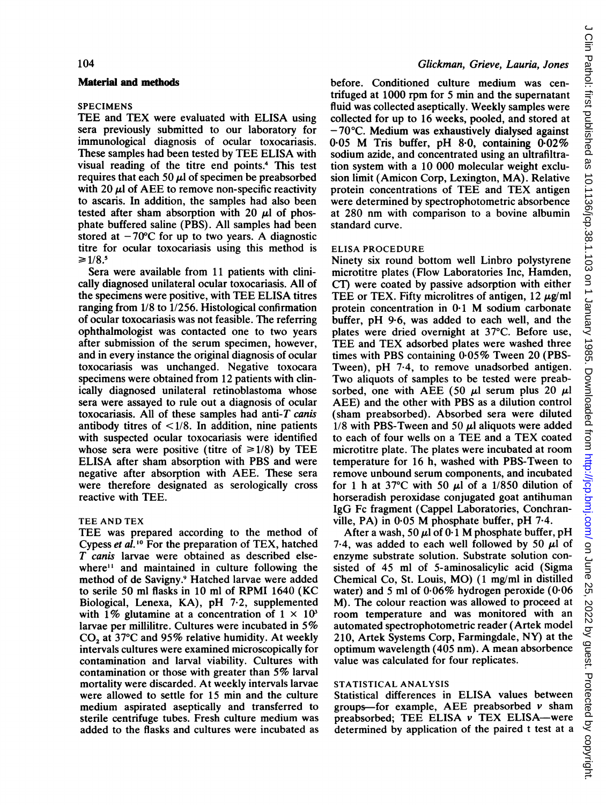## 104

#### Material and methods

## SPECIMENS

TEE and TEX were evaluated with ELISA using sera previously submitted to our laboratory for immunological diagnosis of ocular toxocariasis. These samples had been tested by TEE ELISA with visual reading of the titre end points.4 This test requires that each 50  $\mu$ l of specimen be preabsorbed with 20  $\mu$ l of AEE to remove non-specific reactivity to ascaris. In addition, the samples had also been tested after sham absorption with 20  $\mu$ l of phosphate buffered saline (PBS). All samples had been stored at  $-70^{\circ}$ C for up to two years. A diagnostic titre for ocular toxocariasis using this method is  $≥1/8.5$ 

Sera were available from 11 patients with clinically diagnosed unilateral ocular toxocariasis. All of the specimens were positive, with TEE ELISA titres ranging from 1/8 to 1/256. Histological confirmation of ocular toxocariasis was not feasible. The referring ophthalmologist was contacted one to two years after submission of the serum specimen, however, and in every instance the original diagnosis of ocular toxocariasis was unchanged. Negative toxocara specimens were obtained from 12 patients with clinically diagnosed unilateral retinoblastoma whose sera were assayed to rule out a diagnosis of ocular toxocariasis. All of these samples had anti- $T$  canis antibody titres of  $\langle 1/8$ . In addition, nine patients with suspected ocular toxocariasis were identified whose sera were positive (titre of  $\geq 1/8$ ) by TEE ELISA after sham absorption with PBS and were negative after absorption with AEE. These sera were therefore designated as serologically cross reactive with TEE.

#### TEE AND TEX

TEE was prepared according to the method of Cypess et al. '0 For the preparation of TEX, hatched T canis larvae were obtained as described elsewhere<sup>11</sup> and maintained in culture following the method of de Savigny.9 Hatched larvae were added to serile 50 ml flasks in 10 ml of RPMI 1640 (KC Biological, Lenexa, KA), pH 7-2, supplemented with 1% glutamine at a concentration of  $1 \times 10^3$ larvae per millilitre. Cultures were incubated in 5% CO<sub>2</sub> at 37°C and 95% relative humidity. At weekly intervals cultures were examined microscopically for contamination and larval viability. Cultures with contamination or those with greater than 5% larval mortality were discarded. At weekly intervals larvae were allowed to settle for 15 min and the culture medium aspirated aseptically and transferred to sterile centrifuge tubes. Fresh culture medium was added to the flasks and cultures were incubated as

#### Glickman, Grieve, Lauria, Jones

before. Conditioned culture medium was centrifuged at 1000 rpm for 5 min and the supernatant fluid was collected aseptically. Weekly samples were collected for up to 16 weeks, pooled, and stored at  $-70^{\circ}$ C. Medium was exhaustively dialysed against <sup>0</sup> <sup>05</sup> M Tris buffer, pH 8-0, containing 0-02% sodium azide, and concentrated using an ultrafiltration system with a 10 000 molecular weight exclusion limit (Amicon Corp, Lexington, MA). Relative protein concentrations of TEE and TEX antigen were determined by spectrophotometric absorbence at 280 nm with comparison to <sup>a</sup> bovine albumin standard curve.

## ELISA PROCEDURE

Ninety six round bottom well Linbro polystyrene microtitre plates (Flow Laboratories Inc, Hamden, CI) were coated by passive adsorption with either TEE or TEX. Fifty microlitres of antigen,  $12 \mu g$ /ml protein concentration in 0-1 M sodium carbonate buffer, pH 9.6, was added to each well, and the plates were dried overnight at 37°C. Before use, TEE and TEX adsorbed plates were washed three times with PBS containing 0.05% Tween 20 (PBS-Tween), pH 7-4, to remove unadsorbed antigen. Two aliquots of samples to be tested were preabsorbed, one with AEE (50  $\mu$ l serum plus 20  $\mu$ l AEE) and the other with PBS as <sup>a</sup> dilution control (sham preabsorbed). Absorbed sera were diluted  $1/8$  with PBS-Tween and 50  $\mu$ l aliquots were added to each of four wells on <sup>a</sup> TEE and <sup>a</sup> TEX coated microtitre plate. The plates were incubated at room temperature for 16 h, washed with PBS-Tween to remove unbound serum components, and incubated for 1 h at 37 $\degree$ C with 50  $\mu$ l of a 1/850 dilution of horseradish peroxidase conjugated goat antihuman IgG Fc fragment (Cappel Laboratories, Conchranville, PA) in  $0.05$  M phosphate buffer, pH  $7.4$ .

After a wash, 50  $\mu$ l of 0.1 M phosphate buffer, pH 7.4, was added to each well followed by 50  $\mu$ l of enzyme substrate solution. Substrate solution consisted of 45 ml of 5-aminosalicylic acid (Sigma Chemical Co, St. Louis, MO) (1 mg/ml in distilled water) and 5 ml of  $0.06\%$  hydrogen peroxide (0.06 M). The colour reaction was allowed to proceed at room temperature and was monitored with an automated spectrophotometric reader (Artek model 210, Artek Systems Corp, Farmingdale, NY) at the optimum wavelength (405 nm). A mean absorbence value was calculated for four replicates.

#### STATISTICAL ANALYSIS

Statistical differences in ELISA values between groups-for example. AEE preabsorbed  $\nu$  sham preabsorbed; TEE ELISA  $\nu$  TEX ELISA-were determined by application of the paired <sup>t</sup> test at a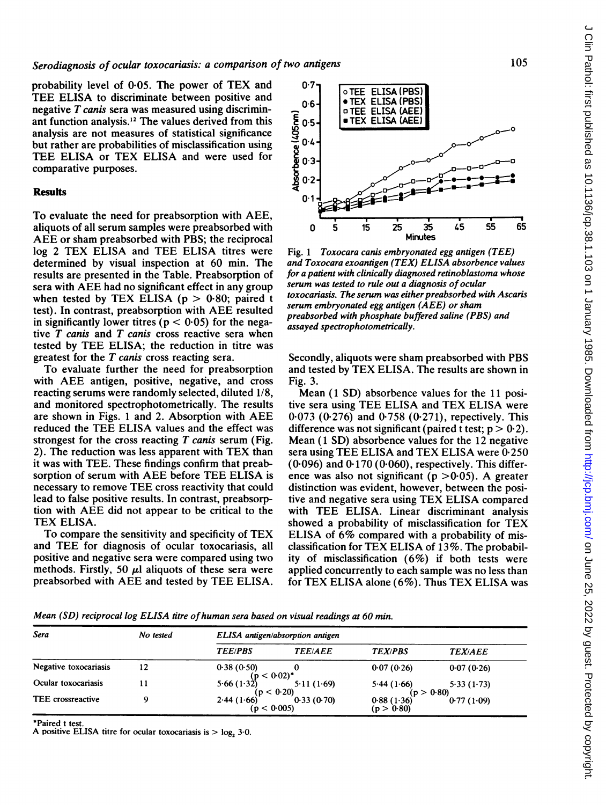probability level of 0\*05. The power of TEX and TEE ELISA to discriminate between positive and negative  $T$  canis sera was measured using discriminant function analysis.'2 The values derived from this analysis are not measures of statistical significance but rather are probabilities of misclassification using TEE ELISA or TEX ELISA and were used for comparative purposes.

## Results

To evaluate the need for preabsorption with AEE, aliquots of all serum samples were preabsorbed with AEE or sham preabsorbed with PBS; the reciprocal log <sup>2</sup> TEX ELISA and TEE ELISA titres were determined by visual inspection at 60 min. The results are presented in the Table. Preabsorption of sera with AEE had no significant effect in any group when tested by TEX ELISA ( $p > 0.80$ ; paired t test). In contrast, preabsorption with AEE resulted in significantly lower titres ( $p < 0.05$ ) for the negative  $T$  canis and  $T$  canis cross reactive sera when tested by TEE ELISA; the reduction in titre was greatest for the T canis cross reacting sera.

To evaluate further the need for preabsorption with AEE antigen, positive, negative, and cross reacting serums were randomly selected, diluted 1/8, and monitored spectrophotometrically. The results are shown in Figs. <sup>1</sup> and 2. Absorption with AEE reduced the TEE ELISA values and the effect was strongest for the cross reacting  $T$  canis serum (Fig. 2). The reduction was less apparent with TEX than it was with TEE. These findings confirm that preabsorption of serum with AEE before TEE ELISA is necessary to remove TEE cross reactivity that could lead to false positive results. In contrast, preabsorption with AEE did not appear to be critical to the TEX ELISA.

To compare the sensitivity and specificity of TEX and TEE for diagnosis of ocular toxocariasis, all positive and negative sera were compared using two methods. Firstly, 50  $\mu$ l aliquots of these sera were preabsorbed with AEE and tested by TEE ELISA.



Fig. <sup>1</sup> Toxocara canis embryonated egg antigen (TEE) and Toxocara exoantigen (TEX) ELISA absorbence values for a patient with clinically diagnosed retinoblastoma whose serum was tested to rule out a diagnosis of ocular toxocariasis. The serum was either preabsorbed with Ascaris serum embryonated egg antigen (AEE) or sham preabsorbed with phosphate buffered saline (PBS) and assayed spectrophotometrically.

Secondly, aliquots were sham preabsorbed with PBS and tested by TEX ELISA. The results are shown in Fig. 3.

Mean (1 SD) absorbence values for the 11 positive sera using TEE ELISA and TEX ELISA were 0 073 (0.276) and 0-758 (0.271), repectively. This difference was not significant (paired t test;  $p > 0.2$ ). Mean (1 SD) absorbence values for the 12 negative sera using TEE ELISA and TEX ELISA were 0.250  $(0.096)$  and  $0.170$   $(0.060)$ , respectively. This difference was also not significant ( $p > 0.05$ ). A greater distinction was evident, however, between the positive and negative sera using TEX ELISA compared with TEE ELISA. Linear discriminant analysis showed <sup>a</sup> probability of misclassification for TEX ELISA of 6% compared with <sup>a</sup> probability of misclassification for TEX ELISA of 13%. The probability of misclassification (6%) if both tests were applied concurrently to each sample was no less than for TEX ELISA alone (6%). Thus TEX ELISA was

Mean (SD) reciprocal log ELISA titre of human sera based on visual readings at 60 min.

| Sera                     | No tested | ELISA antigen/absorption antigen |                          |                            |                          |
|--------------------------|-----------|----------------------------------|--------------------------|----------------------------|--------------------------|
|                          |           | <b>TEE/PBS</b>                   | <b>TEE/AEE</b>           | <b>TEX/PBS</b>             | <b>TEX/AEE</b>           |
| Negative toxocariasis    | 12        | 0.38(0.50)                       |                          | 0.07(0.26)                 | 0.07(0.26)               |
| Ocular toxocariasis      |           | $(p < 0.02)^*$<br>5.66(1.32)     | 5.11(1.69)               | 5.44(1.66)                 | 5.33(1.73)               |
| <b>TEE</b> crossreactive |           | 2.44(1.66)<br>(p < 0.005)        | (p < 0.20)<br>0.33(0.70) | $0.88(1.36)$<br>(p > 0.80) | (p > 0.80)<br>0.77(1.09) |

\*Paired <sup>t</sup> test.

A positive ELISA titre for ocular toxocariasis is  $>$  log, 3.0.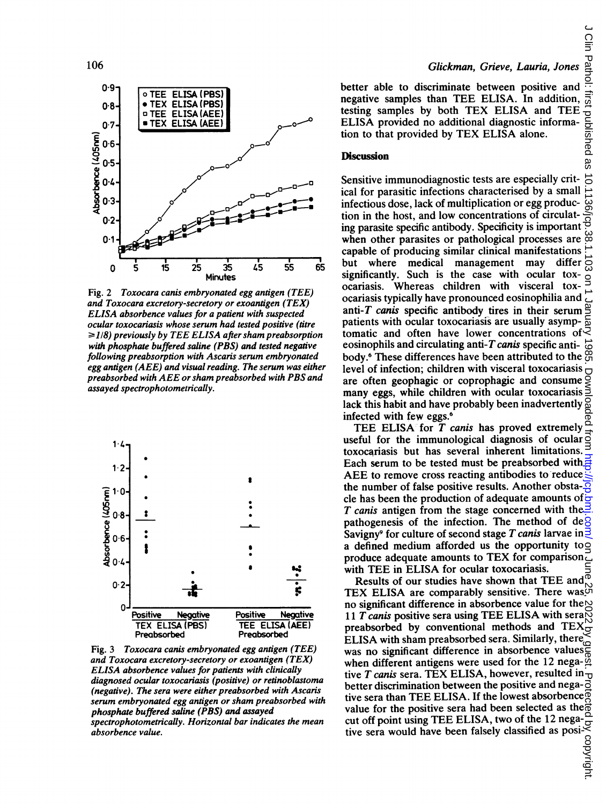

Fig. 2 Toxocara canis embryonated egg antigen (TEE) and Toxocara excretory-secretory or exoantigen (TEX) ELISA absorbence values for a patient with suspected ocular toxocariasis whose serum had test  $\geq$ 1/8) previously by TEE ELISA after sham preabsorption with phosphate buffered saline (PBS) and tested negative following preabsorption with Ascaris serum embryonated egg antigen  $(AEE)$  and visual reading. The serum was either preabsorbed with AEE or sham preabsorbed with PBS and assayed spectrophotometrically.



Fig. 3 Toxocara canis embryonated egg antigen (TEE) and Toxocara excretory-secretory or exoantigen  $(TEX)$ ELISA absorbence values for patients with clinically diagnosed ocular toxocariasis (positive) or retinoblastoma (negative). The sera were either preabsorbed with Ascaris serum embryonated egg antigen or sham preabsorbed with phosphate buffered saline (PBS) and as spectrophotometrically. Horizontal bar indicates the mean absorbence value.

#### Glickman, Grieve, Lauria, Jones

better able to discriminate between positive and negative samples than TEE ELISA. In addition, testing samples by both TEX ELISA and TEE ELISA provided no additional diagnostic information to that provided by TEX ELISA alone.

## **Discussion**

Sensitive immunodiagnostic tests are especially critical for parasitic infections characterised by a small infectious dose, lack of multiplication or egg production in the host, and low concentrations of circulattion in the nost, and low concentrations of circulate  $\frac{1}{2}$  ing parasite specific antibody. Specificity is important  $\frac{1}{2}$ when other parasites or pathological processes are capable of producing similar clinical manifestations 45 55 65 but where medical management may differ significantly. Such is the case with ocular toxocariasis. Whereas children with visceral tox-<br>ocariasis typically have pronounced eosinophilia and antigen  $(TEX)$  ocariasis typically have pronounced eosinophilia and with suspected anti-T canis specific antibody tires in their serum patients with ocular toxocariasis are usually asymptomatic and often have lower concentrations of  $\leq$ eosinophils and circulating anti-T canis specific antibody.<sup>6</sup> These differences have been attributed to the  $\tilde{\Omega}$ level of infection; children with visceral toxocariasis  $\Box$ red with PBS and are often geophagic or coprophagic and consume many eggs, while children with ocular toxocariasis lack this habit and have probably been inadvertently infected with few eggs.6

> TEE ELISA for T canis has proved extremely  $\frac{1}{2}$ <br>eful for the immunological diagnosis of ocular o useful for the immunological diagnosis of ocular toxocariasis but has several inherent limitations. Each serum to be tested must be preabsorbed with AEE to remove cross reacting antibodies to reduce the number of false positive results. Another obsta- $\frac{1}{2}$ cle has been the production of adequate amounts of  $\frac{1}{x}$ T canis antigen from the stage concerned with the  $\geq$ pathogenesis of the infection. The method of de $\beta$ Savigny<sup>9</sup> for culture of second stage T canis larvae in  $\frac{3}{5}$ a defined medium afforded us the opportunity to  $\Omega$ produce adequate amounts to TEX for comparison. with TEE in ELISA for ocular toxocariasis.

Results of our studies have shown that TEE and TEX ELISA are comparably sensitive. There was no significant difference in absorbence value for the  $\sim$ Negative 11 T canis positive sera using TEE ELISA with sera $\breve{\otimes}$ preabsorbed by conventional methods and TEX ELISA with sham preabsorbed sera. Similarly, there was no significant difference in absorbence values when different antigens were used for the 12 nega- $\frac{\alpha}{2}$ <br>tive T canis sera. TEX ELISA, however, resulted in better discrimination between the positive and nega- $\vec{\sigma}$ tive sera than TEE ELISA. If the lowest absorbence  $\vec{Q}$ value for the positive sera had been selected as the  $\ddot{\vec{a}}$ cut off point using TEE ELISA, two of the 12 nega-<br>tive sera would have been falsely classified as posi-<br> $\frac{35}{12}$ <br> $\frac{35}{12}$ tive sera would have been falsely classified as posi